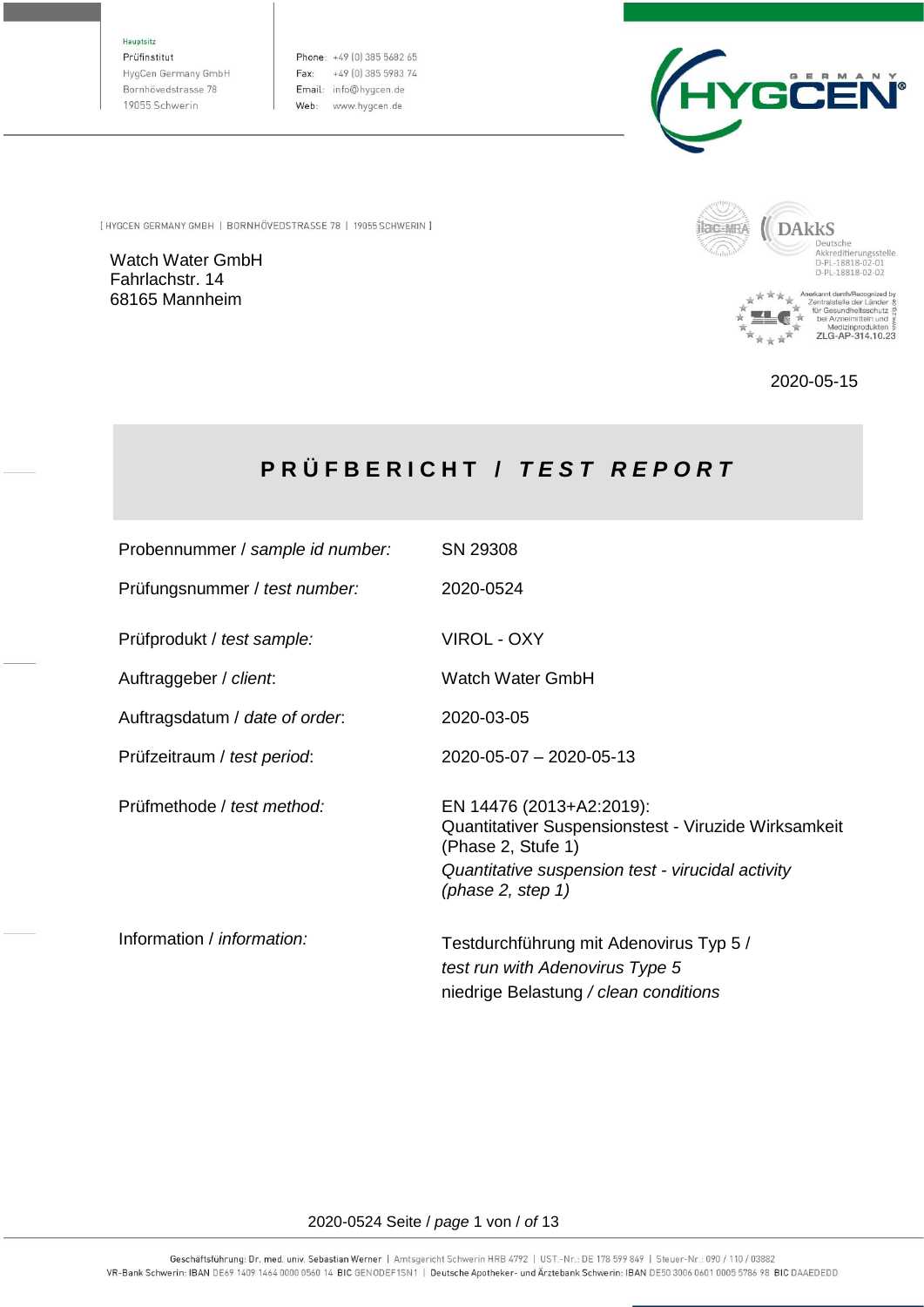Hauptsitz

Prüfinstitut HygCen Germany GmbH Bornhövedstrasse 78 19055 Schwerin

Phone: +49 (0) 385 5682 65 Fax: +49 (0) 385 5983 74 Email: info@hygcen.de Web: www.hygcen.de



[ HYGCEN GERMANY GMBH | BORNHÖVEDSTRASSE 78 | 19055 SCHWERIN ]

Watch Water GmbH Fahrlachstr. 14 68165 Mannheim



2020-05-15

# **P R Ü F B E R I C H T /** *T E S T R E P O R T*

| Probennummer / sample id number:  | SN 29308                                                                                                                                                    |
|-----------------------------------|-------------------------------------------------------------------------------------------------------------------------------------------------------------|
| Prüfungsnummer / test number:     | 2020-0524                                                                                                                                                   |
| Prüfprodukt / test sample:        | VIROL - OXY                                                                                                                                                 |
| Auftraggeber / client.            | Watch Water GmbH                                                                                                                                            |
| Auftragsdatum / date of order.    | 2020-03-05                                                                                                                                                  |
| Prüfzeitraum / test period:       | 2020-05-07 - 2020-05-13                                                                                                                                     |
| Prüfmethode / test method:        | EN 14476 (2013+A2:2019):<br>Quantitativer Suspensionstest - Viruzide Wirksamkeit<br>(Phase 2, Stufe 1)<br>Quantitative suspension test - virucidal activity |
|                                   | (phase $2$ , step $1$ )                                                                                                                                     |
| Information / <i>information:</i> | Testdurchführung mit Adenovirus Typ 5 /<br>test run with Adenovirus Type 5<br>niedrige Belastung / clean conditions                                         |

#### 2020-0524 Seite / *page* 1 von / *of* 13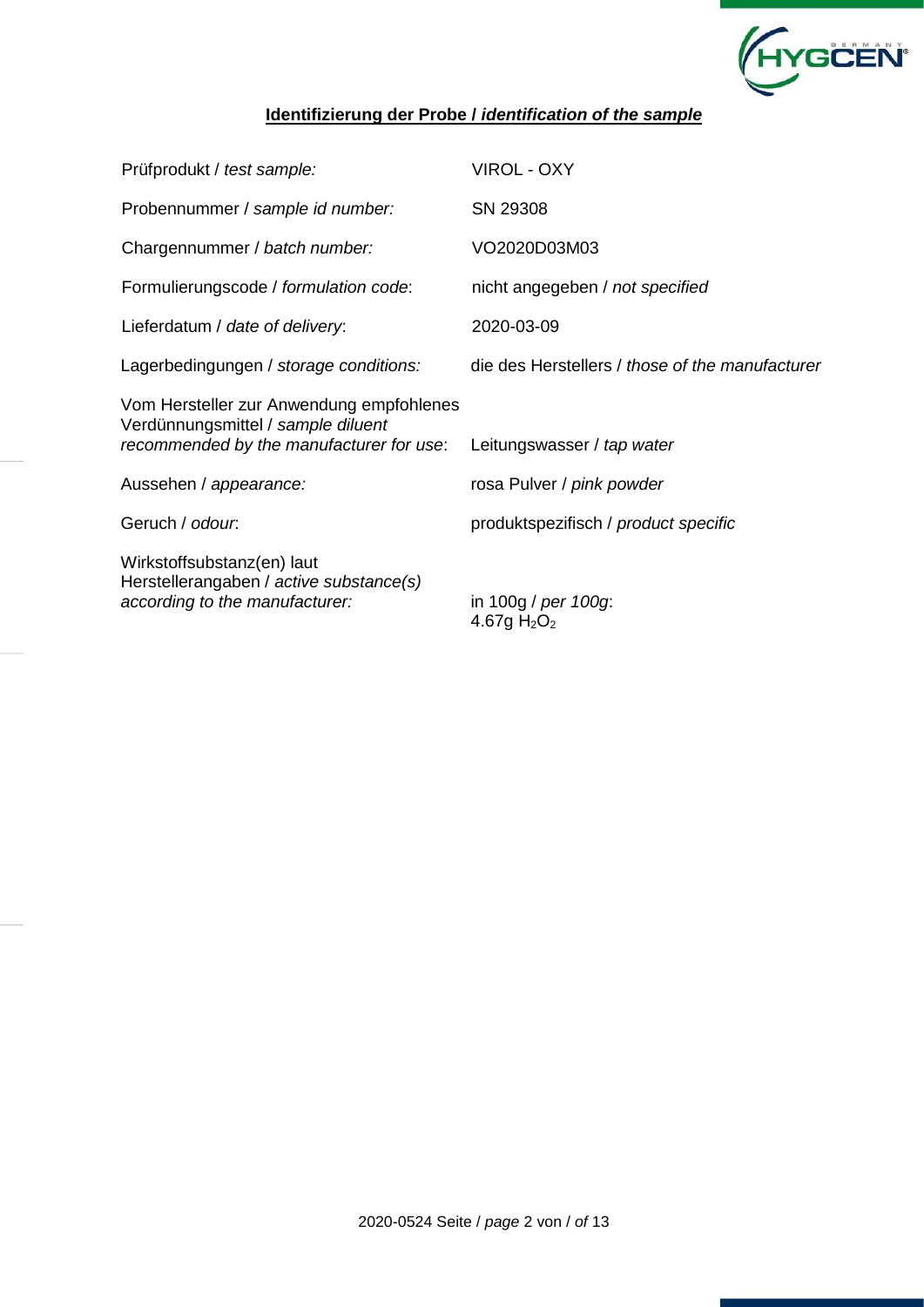

## **Identifizierung der Probe /** *identification of the sample*

| Prüfprodukt / test sample:                                                                                                 | <b>VIROL - OXY</b>                              |
|----------------------------------------------------------------------------------------------------------------------------|-------------------------------------------------|
| Probennummer / sample id number:                                                                                           | SN 29308                                        |
| Chargennummer / batch number:                                                                                              | VO2020D03M03                                    |
| Formulierungscode / formulation code:                                                                                      | nicht angegeben / not specified                 |
| Lieferdatum / date of delivery:                                                                                            | 2020-03-09                                      |
| Lagerbedingungen / storage conditions:                                                                                     | die des Herstellers / those of the manufacturer |
| Vom Hersteller zur Anwendung empfohlenes<br>Verdünnungsmittel / sample diluent<br>recommended by the manufacturer for use: | Leitungswasser / tap water                      |
| Aussehen / appearance:                                                                                                     | rosa Pulver / pink powder                       |
| Geruch / odour.                                                                                                            | produktspezifisch / product specific            |
| Wirkstoffsubstanz(en) laut<br>Herstellerangaben / active substance(s)<br>according to the manufacturer:                    | in 100g / per 100g:<br>4.67g $H_2O_2$           |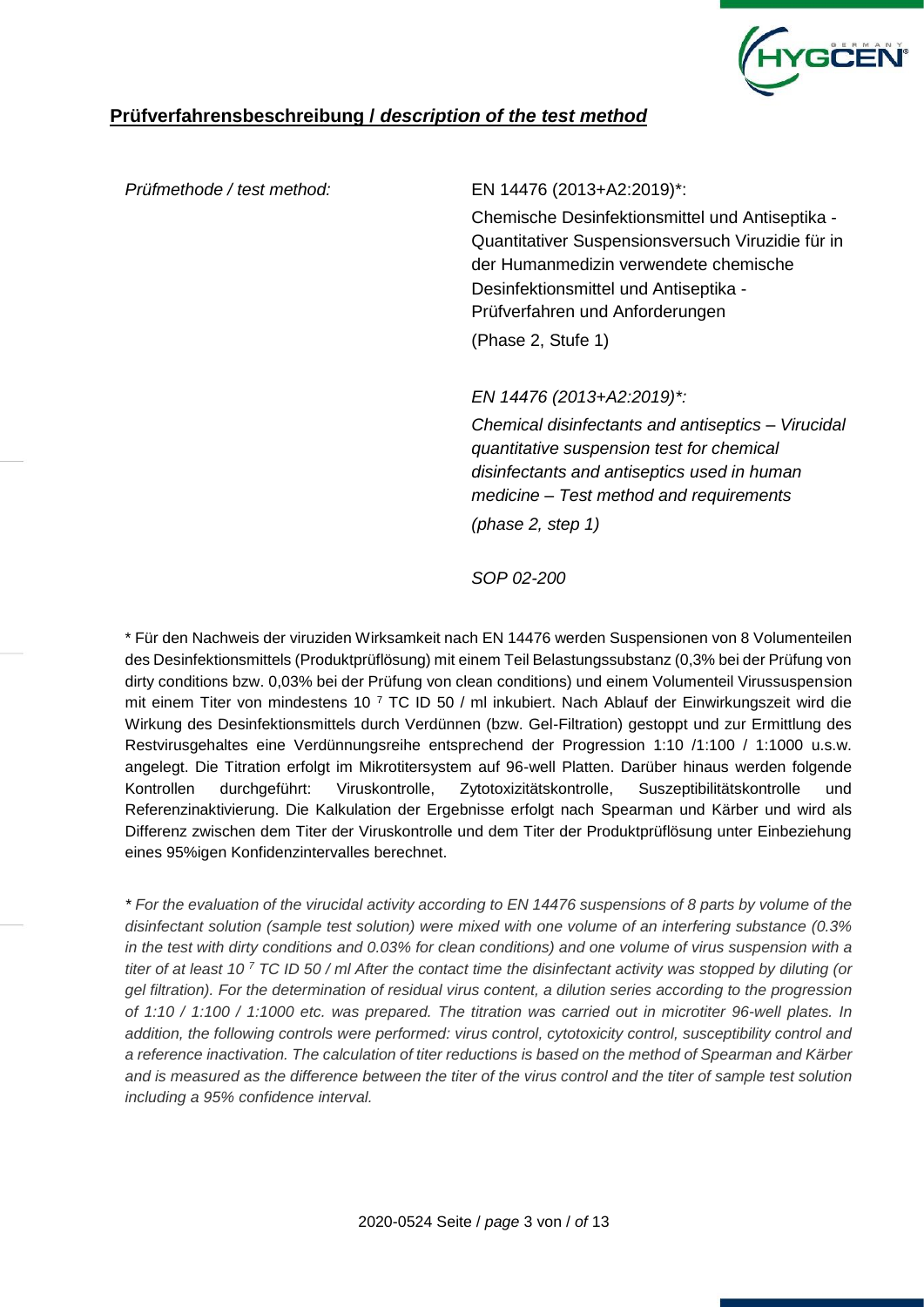

## **Prüfverfahrensbeschreibung /** *description of the test method*

#### *Prüfmethode / test method:* EN 14476 (2013+A2:2019)\*:

Chemische Desinfektionsmittel und Antiseptika - Quantitativer Suspensionsversuch Viruzidie für in der Humanmedizin verwendete chemische Desinfektionsmittel und Antiseptika - Prüfverfahren und Anforderungen (Phase 2, Stufe 1)

*EN 14476 (2013+A2:2019)\*:*

*Chemical disinfectants and antiseptics – Virucidal quantitative suspension test for chemical disinfectants and antiseptics used in human medicine – Test method and requirements (phase 2, step 1)*

*SOP 02-200*

\* Für den Nachweis der viruziden Wirksamkeit nach EN 14476 werden Suspensionen von 8 Volumenteilen des Desinfektionsmittels (Produktprüflösung) mit einem Teil Belastungssubstanz (0,3% bei der Prüfung von dirty conditions bzw. 0,03% bei der Prüfung von clean conditions) und einem Volumenteil Virussuspension mit einem Titer von mindestens 10 <sup>7</sup> TC ID 50 / ml inkubiert. Nach Ablauf der Einwirkungszeit wird die Wirkung des Desinfektionsmittels durch Verdünnen (bzw. Gel-Filtration) gestoppt und zur Ermittlung des Restvirusgehaltes eine Verdünnungsreihe entsprechend der Progression 1:10 /1:100 / 1:1000 u.s.w. angelegt. Die Titration erfolgt im Mikrotitersystem auf 96-well Platten. Darüber hinaus werden folgende Kontrollen durchgeführt: Viruskontrolle, Zytotoxizitätskontrolle, Suszeptibilitätskontrolle und Referenzinaktivierung. Die Kalkulation der Ergebnisse erfolgt nach Spearman und Kärber und wird als Differenz zwischen dem Titer der Viruskontrolle und dem Titer der Produktprüflösung unter Einbeziehung eines 95%igen Konfidenzintervalles berechnet.

*\* For the evaluation of the virucidal activity according to EN 14476 suspensions of 8 parts by volume of the disinfectant solution (sample test solution) were mixed with one volume of an interfering substance (0.3% in the test with dirty conditions and 0.03% for clean conditions) and one volume of virus suspension with a titer of at least 10 <sup>7</sup> TC ID 50 / ml After the contact time the disinfectant activity was stopped by diluting (or gel filtration). For the determination of residual virus content, a dilution series according to the progression of 1:10 / 1:100 / 1:1000 etc. was prepared. The titration was carried out in microtiter 96-well plates. In addition, the following controls were performed: virus control, cytotoxicity control, susceptibility control and a reference inactivation. The calculation of titer reductions is based on the method of Spearman and Kärber and is measured as the difference between the titer of the virus control and the titer of sample test solution including a 95% confidence interval.*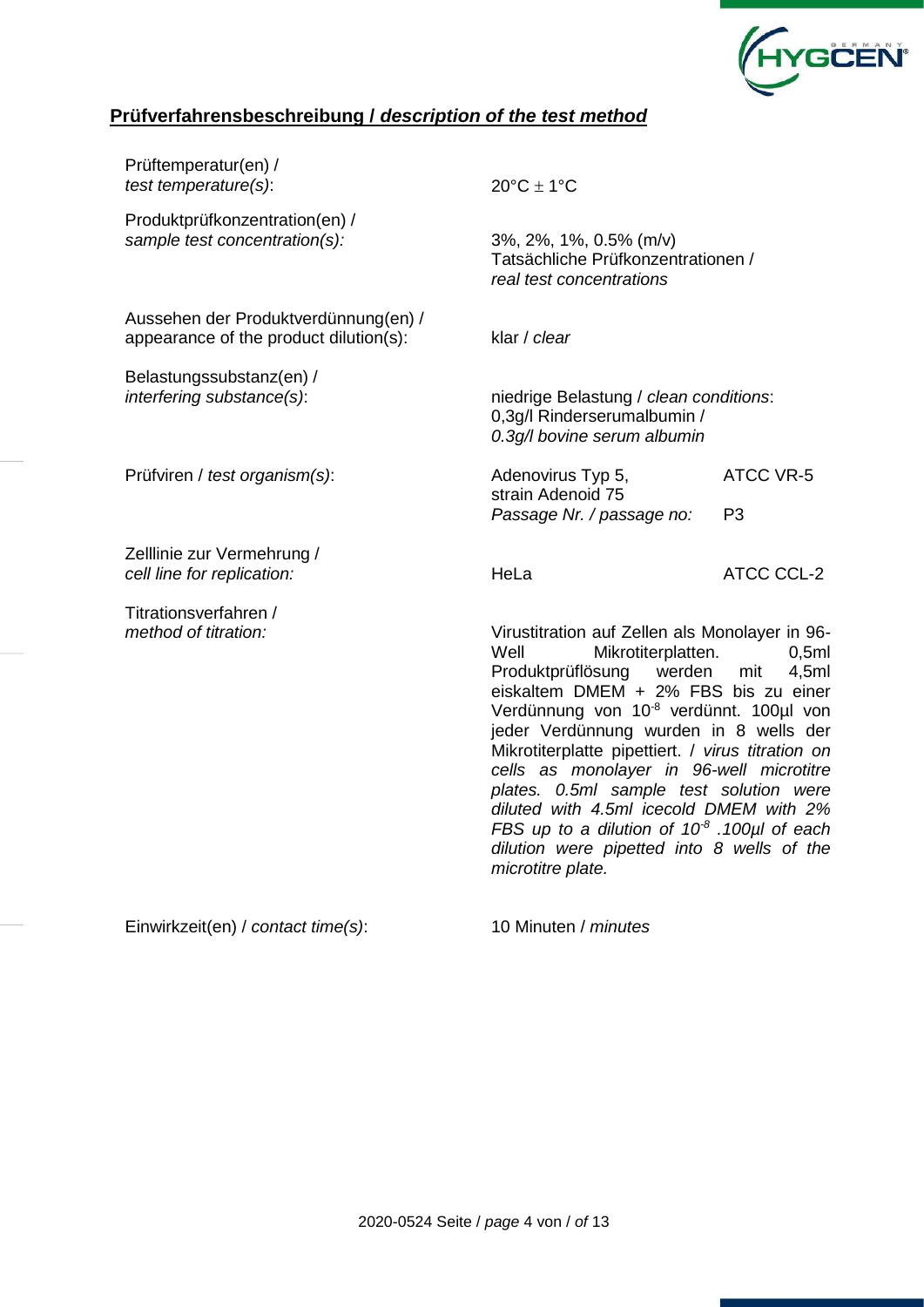

## **Prüfverfahrensbeschreibung /** *description of the test method*

| Prüftemperatur(en) /<br>test temperature(s):                                   | $20^{\circ}$ C ± 1°C                                                                                                                                                                                                                                                                                                                                                                                                                                                                                                                                                  |                                    |
|--------------------------------------------------------------------------------|-----------------------------------------------------------------------------------------------------------------------------------------------------------------------------------------------------------------------------------------------------------------------------------------------------------------------------------------------------------------------------------------------------------------------------------------------------------------------------------------------------------------------------------------------------------------------|------------------------------------|
| Produktprüfkonzentration(en) /<br>sample test concentration(s):                | 3%, 2%, 1%, 0.5% (m/v)<br>Tatsächliche Prüfkonzentrationen /<br>real test concentrations                                                                                                                                                                                                                                                                                                                                                                                                                                                                              |                                    |
| Aussehen der Produktverdünnung(en) /<br>appearance of the product dilution(s): | klar / clear                                                                                                                                                                                                                                                                                                                                                                                                                                                                                                                                                          |                                    |
| Belastungssubstanz(en) /<br>interfering substance(s):                          | niedrige Belastung / clean conditions:<br>0,3g/l Rinderserumalbumin /<br>0.3g/l bovine serum albumin                                                                                                                                                                                                                                                                                                                                                                                                                                                                  |                                    |
| Prüfviren / test organism(s):                                                  | Adenovirus Typ 5,<br>strain Adenoid 75<br>Passage Nr. / passage no:                                                                                                                                                                                                                                                                                                                                                                                                                                                                                                   | <b>ATCC VR-5</b><br>P <sub>3</sub> |
| Zelllinie zur Vermehrung /<br>cell line for replication:                       | HeLa                                                                                                                                                                                                                                                                                                                                                                                                                                                                                                                                                                  | <b>ATCC CCL-2</b>                  |
| Titrationsverfahren /<br>method of titration:                                  | Virustitration auf Zellen als Monolayer in 96-<br>Mikrotiterplatten.<br>Well<br>Produktprüflösung<br>werden<br>eiskaltem DMEM + 2% FBS bis zu einer<br>Verdünnung von 10 <sup>-8</sup> verdünnt. 100µl von<br>jeder Verdünnung wurden in 8 wells der<br>Mikrotiterplatte pipettiert. / virus titration on<br>cells as monolayer in 96-well microtitre<br>plates. 0.5ml sample test solution were<br>diluted with 4.5ml icecold DMEM with 2%<br>FBS up to a dilution of $10^8$ .100 $\mu$ l of each<br>dilution were pipetted into 8 wells of the<br>microtitre plate. | 0,5ml<br>4,5ml<br>mit              |

Einwirkzeit(en) / *contact time(s)*: 10 Minuten / *minutes*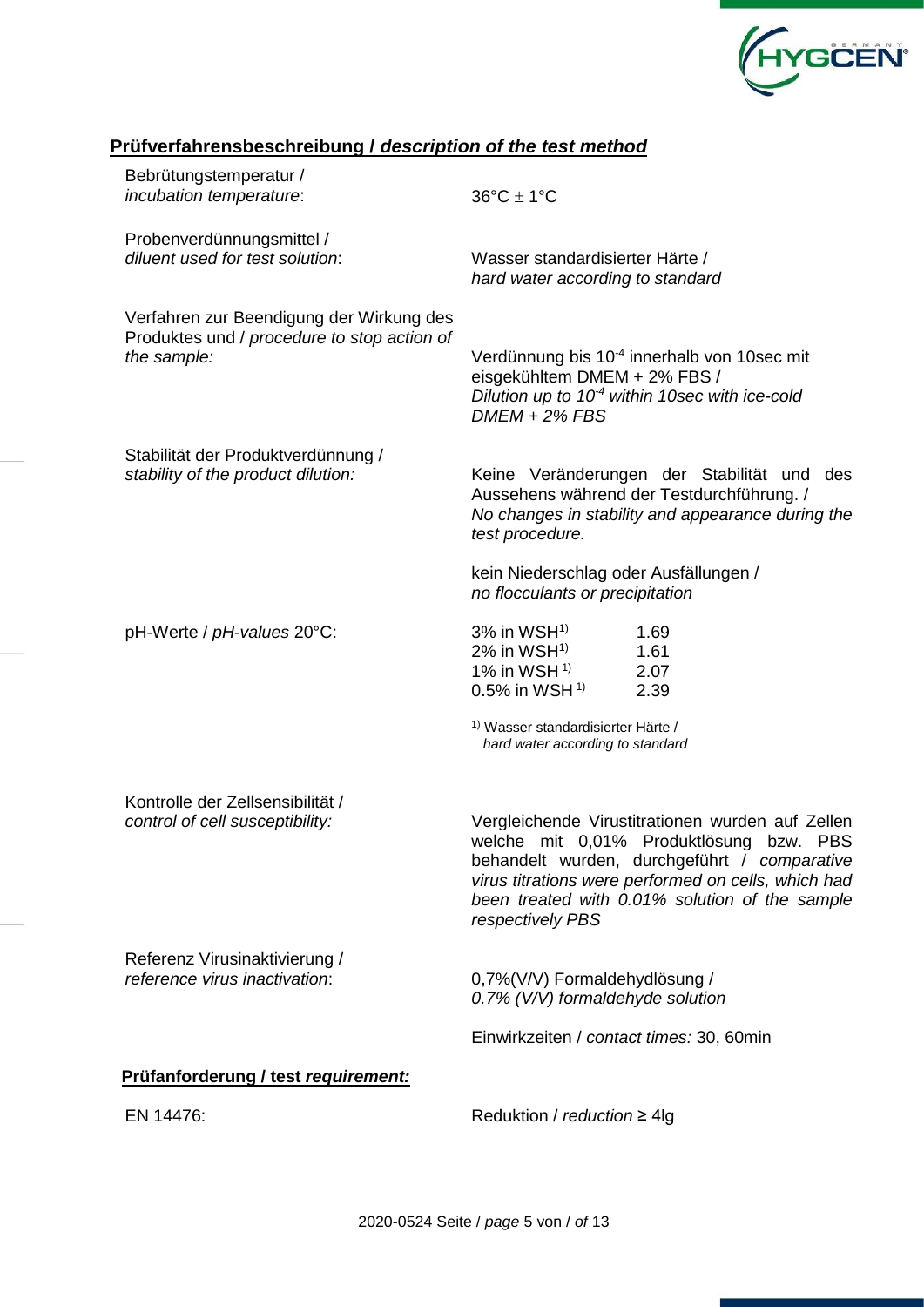

## **Prüfverfahrensbeschreibung /** *description of the test method*

| Bebrütungstemperatur /<br>incubation temperature:                                                      | $36^{\circ}$ C $\pm$ 1°C                                                                                                |                                                                                                                                                                                                                       |  |  |  |  |  |  |
|--------------------------------------------------------------------------------------------------------|-------------------------------------------------------------------------------------------------------------------------|-----------------------------------------------------------------------------------------------------------------------------------------------------------------------------------------------------------------------|--|--|--|--|--|--|
| Probenverdünnungsmittel /<br>diluent used for test solution:                                           | Wasser standardisierter Härte /<br>hard water according to standard                                                     |                                                                                                                                                                                                                       |  |  |  |  |  |  |
| Verfahren zur Beendigung der Wirkung des<br>Produktes und / procedure to stop action of<br>the sample: | eisgekühltem DMEM + 2% FBS /<br>$DMEM + 2\% FBS$                                                                        | Verdünnung bis 10 <sup>-4</sup> innerhalb von 10sec mit<br>Dilution up to $10-4$ within 10sec with ice-cold                                                                                                           |  |  |  |  |  |  |
| Stabilität der Produktverdünnung /<br>stability of the product dilution:                               | test procedure.                                                                                                         | Keine Veränderungen der Stabilität und des<br>Aussehens während der Testdurchführung. /<br>No changes in stability and appearance during the                                                                          |  |  |  |  |  |  |
|                                                                                                        | kein Niederschlag oder Ausfällungen /<br>no flocculants or precipitation                                                |                                                                                                                                                                                                                       |  |  |  |  |  |  |
| pH-Werte / pH-values 20°C:                                                                             | $3\%$ in WSH <sup>1)</sup><br>$2\%$ in WSH <sup>1)</sup><br>1% in WSH $1$ <sup>1)</sup><br>$0.5\%$ in WSH <sup>1)</sup> | 1.69<br>1.61<br>2.07<br>2.39                                                                                                                                                                                          |  |  |  |  |  |  |
|                                                                                                        | 1) Wasser standardisierter Härte /<br>hard water according to standard                                                  |                                                                                                                                                                                                                       |  |  |  |  |  |  |
| Kontrolle der Zellsensibilität /<br>control of cell susceptibility:                                    | welche mit 0,01% Produktlösung<br>respectively PBS                                                                      | Vergleichende Virustitrationen wurden auf Zellen<br>bzw. PBS<br>behandelt wurden, durchgeführt / comparative<br>virus titrations were performed on cells, which had<br>been treated with 0.01% solution of the sample |  |  |  |  |  |  |
| Referenz Virusinaktivierung /<br>reference virus inactivation:                                         | 0,7%(V/V) Formaldehydlösung /<br>0.7% (V/V) formaldehyde solution                                                       |                                                                                                                                                                                                                       |  |  |  |  |  |  |
|                                                                                                        | Einwirkzeiten / contact times: 30, 60min                                                                                |                                                                                                                                                                                                                       |  |  |  |  |  |  |
| Prüfanforderung / test requirement:                                                                    |                                                                                                                         |                                                                                                                                                                                                                       |  |  |  |  |  |  |
| EN 14476:                                                                                              | Reduktion / reduction $\geq 4$ lg                                                                                       |                                                                                                                                                                                                                       |  |  |  |  |  |  |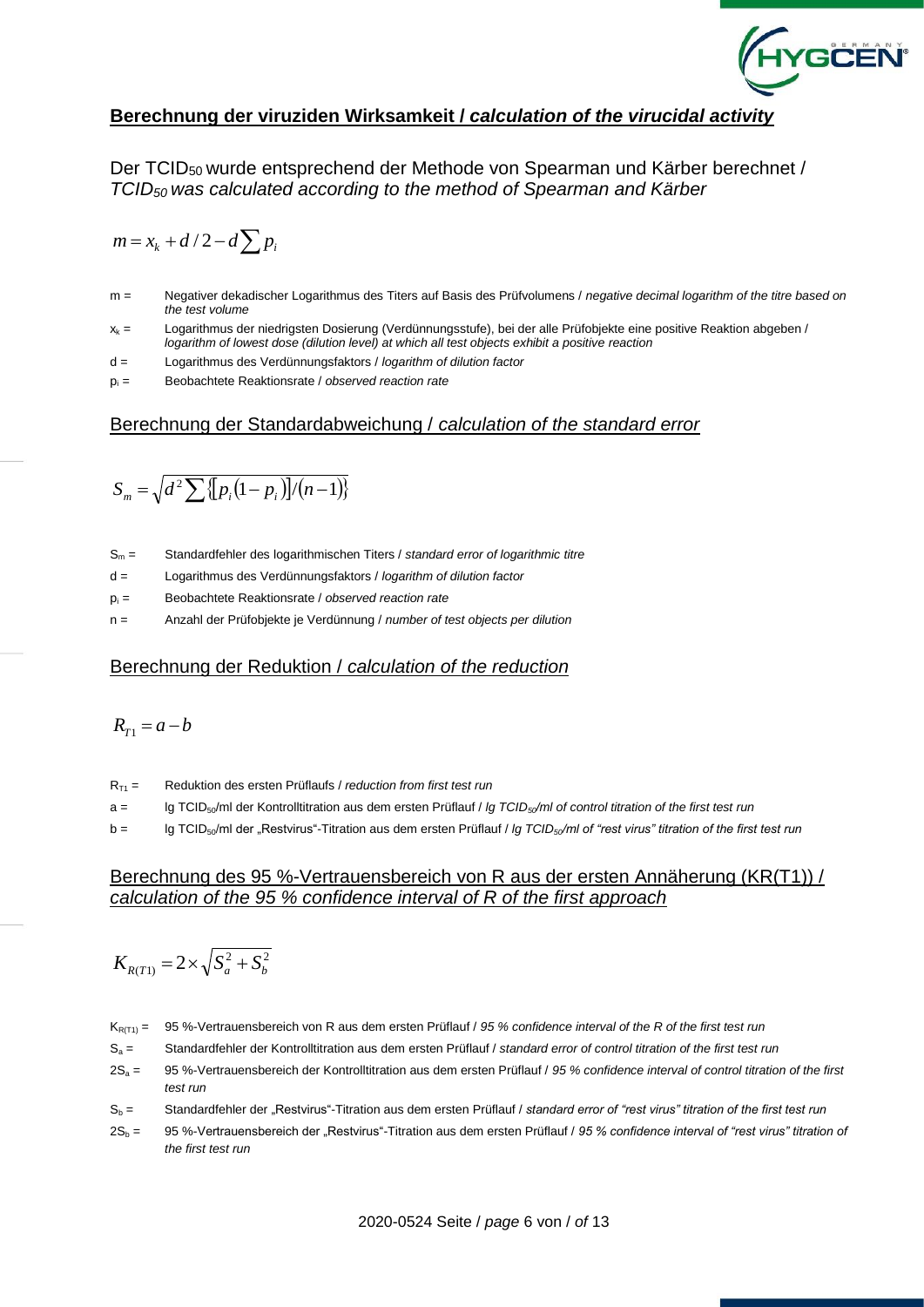

### **Berechnung der viruziden Wirksamkeit /** *calculation of the virucidal activity*

Der TCID50 wurde entsprechend der Methode von Spearman und Kärber berechnet / *TCID50 was calculated according to the method of Spearman and Kärber*

$$
m = x_k + d/2 - d \sum p_i
$$

- m = Negativer dekadischer Logarithmus des Titers auf Basis des Prüfvolumens / *negative decimal logarithm of the titre based on the test volume*
- $x_k$  = Logarithmus der niedrigsten Dosierung (Verdünnungsstufe), bei der alle Prüfobjekte eine positive Reaktion abgeben / *logarithm of lowest dose (dilution level) at which all test objects exhibit a positive reaction*
- d = Logarithmus des Verdünnungsfaktors / *logarithm of dilution factor*
- p<sup>i</sup> = Beobachtete Reaktionsrate / *observed reaction rate*

#### Berechnung der Standardabweichung / *calculation of the standard error*

$$
S_m = \sqrt{d^2 \sum \{p_i(1-p_i)\}/(n-1)\}}
$$

- S<sup>m</sup> = Standardfehler des logarithmischen Titers / *standard error of logarithmic titre*
- d = Logarithmus des Verdünnungsfaktors / *logarithm of dilution factor*
- p<sup>i</sup> = Beobachtete Reaktionsrate / *observed reaction rate*
- n = Anzahl der Prüfobjekte je Verdünnung / *number of test objects per dilution*

#### Berechnung der Reduktion / *calculation of the reduction*

$$
R_{T1}=a-b
$$

- RT1 = Reduktion des ersten Prüflaufs / *reduction from first test run*
- a = lg TCID50/ml der Kontrolltitration aus dem ersten Prüflauf / *lg TCID50/ml of control titration of the first test run*
- b = lg TCID50/ml der "Restvirus"-Titration aus dem ersten Prüflauf / *lg TCID50/ml of "rest virus" titration of the first test run*

#### Berechnung des 95 %-Vertrauensbereich von R aus der ersten Annäherung (KR(T1)) / *calculation of the 95 % confidence interval of R of the first approach*

$$
K_{R(T1)} = 2 \times \sqrt{S_a^2 + S_b^2}
$$

- KR(T1) = 95 %-Vertrauensbereich von R aus dem ersten Prüflauf / *95 % confidence interval of the R of the first test run*
- S<sup>a</sup> = Standardfehler der Kontrolltitration aus dem ersten Prüflauf / *standard error of control titration of the first test run*
- 2S<sup>a</sup> = 95 %-Vertrauensbereich der Kontrolltitration aus dem ersten Prüflauf / *95 % confidence interval of control titration of the first test run*
- S<sup>b</sup> = Standardfehler der "Restvirus"-Titration aus dem ersten Prüflauf / *standard error of "rest virus" titration of the first test run*
- 2S<sup>b</sup> = 95 %-Vertrauensbereich der "Restvirus"-Titration aus dem ersten Prüflauf / *95 % confidence interval of "rest virus" titration of the first test run*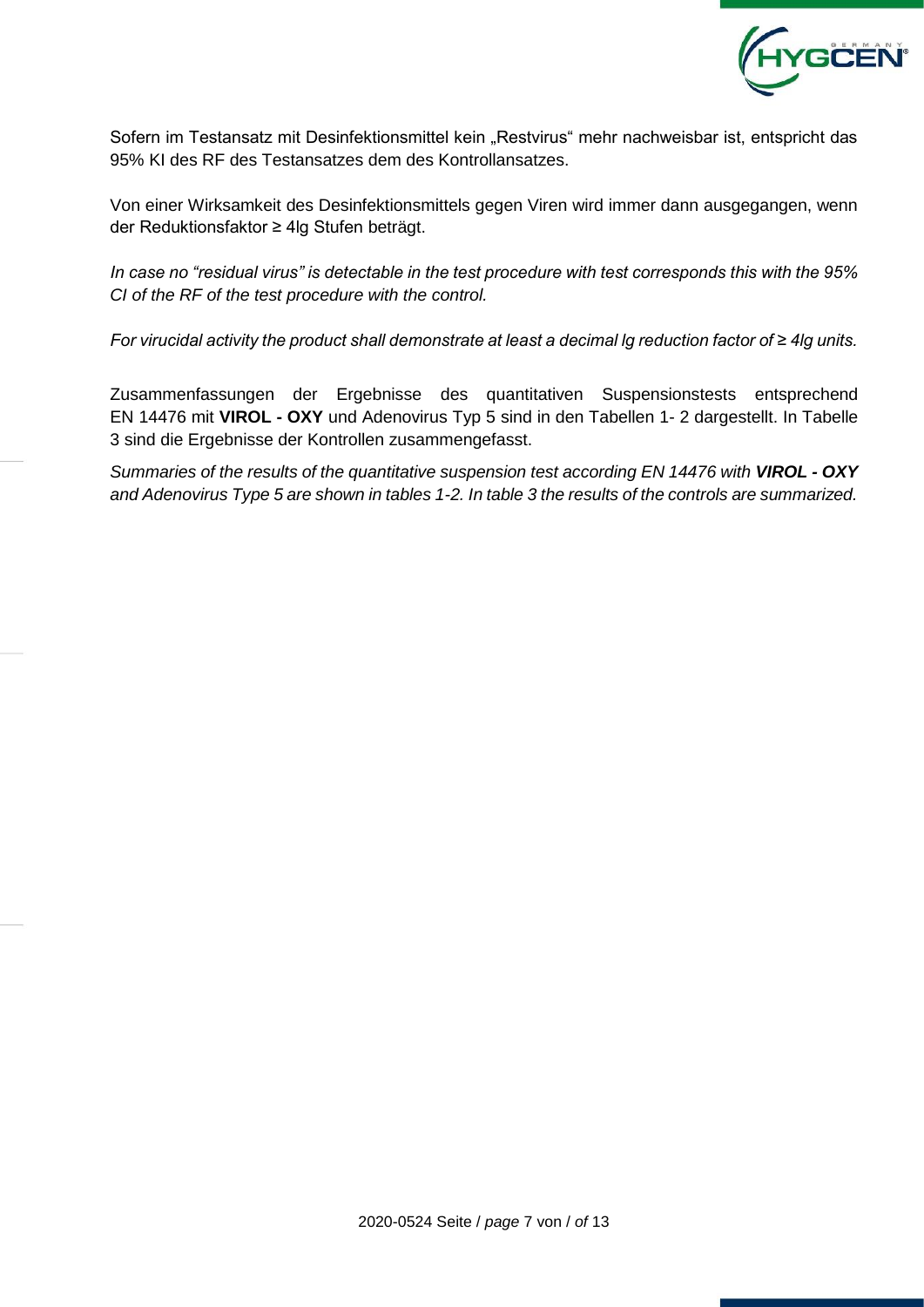

Sofern im Testansatz mit Desinfektionsmittel kein "Restvirus" mehr nachweisbar ist, entspricht das 95% KI des RF des Testansatzes dem des Kontrollansatzes.

Von einer Wirksamkeit des Desinfektionsmittels gegen Viren wird immer dann ausgegangen, wenn der Reduktionsfaktor ≥ 4lg Stufen beträgt.

*In case no "residual virus" is detectable in the test procedure with test corresponds this with the 95% CI of the RF of the test procedure with the control.*

*For virucidal activity the product shall demonstrate at least a decimal lg reduction factor of ≥ 4lg units.*

Zusammenfassungen der Ergebnisse des quantitativen Suspensionstests entsprechend EN 14476 mit **VIROL - OXY** und Adenovirus Typ 5 sind in den Tabellen 1- 2 dargestellt. In Tabelle 3 sind die Ergebnisse der Kontrollen zusammengefasst.

*Summaries of the results of the quantitative suspension test according EN 14476 with VIROL - OXY and Adenovirus Type 5 are shown in tables 1-2. In table 3 the results of the controls are summarized.*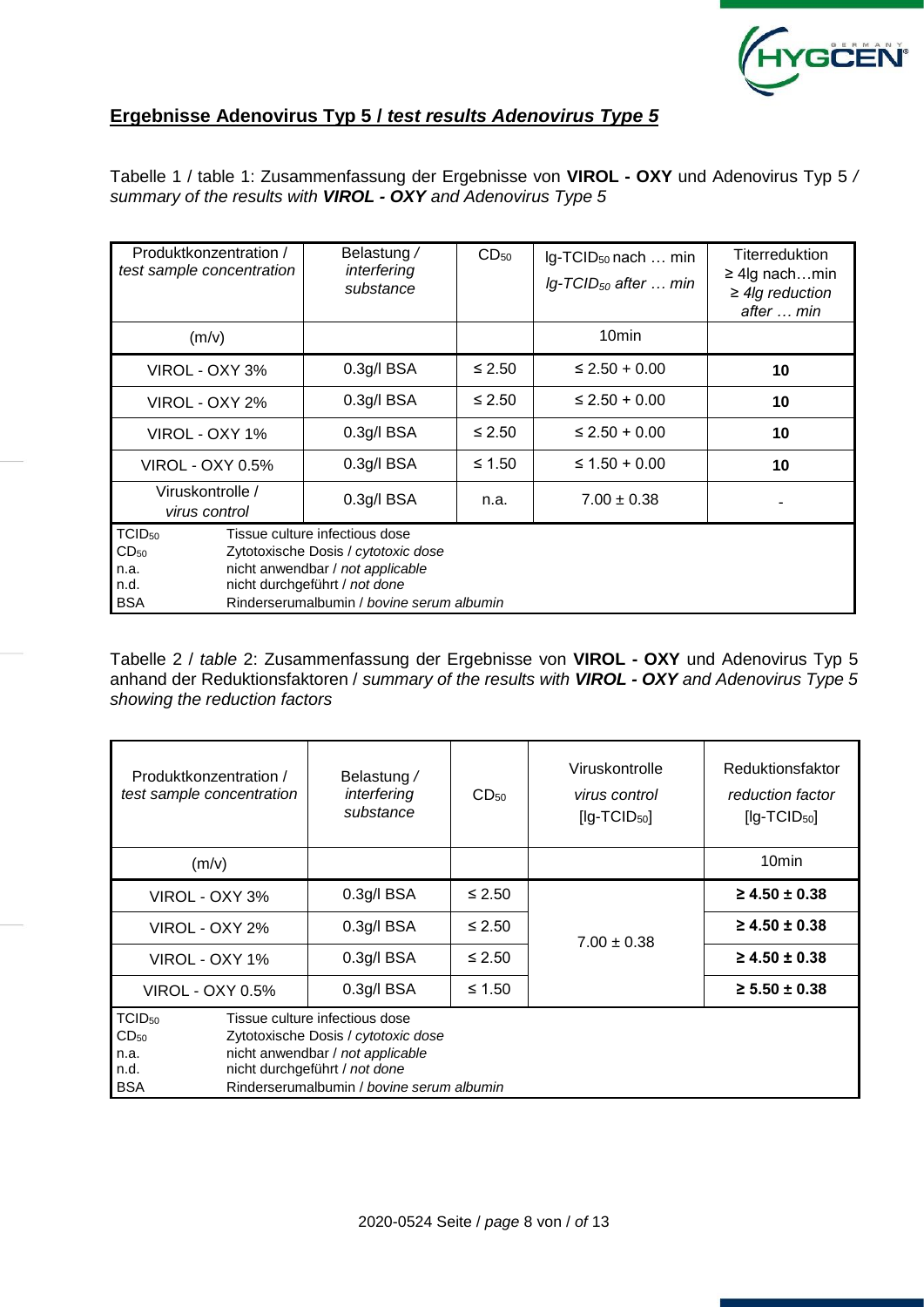

## **Ergebnisse Adenovirus Typ 5 /** *test results Adenovirus Type 5*

Tabelle 1 / table 1: Zusammenfassung der Ergebnisse von **VIROL - OXY** und Adenovirus Typ 5 */ summary of the results with VIROL - OXY and Adenovirus Type 5*

| Produktkonzentration /<br>test sample concentration                  |  | Belastung /<br>interfering<br>substance                                                                                                                                                 | $CD_{50}$   | Ig-TCID <sub>50</sub> nach  min<br>$Ig$ -TCID <sub>50</sub> after  min | <b>Titerreduktion</b><br>$\geq$ 4lg nachmin<br>$\geq$ 4lg reduction<br>after  min |
|----------------------------------------------------------------------|--|-----------------------------------------------------------------------------------------------------------------------------------------------------------------------------------------|-------------|------------------------------------------------------------------------|-----------------------------------------------------------------------------------|
| (m/v)                                                                |  |                                                                                                                                                                                         |             | 10 <sub>min</sub>                                                      |                                                                                   |
| VIROL - OXY 3%                                                       |  | $0.3g$ /l BSA                                                                                                                                                                           | $\leq 2.50$ | $\leq$ 2.50 + 0.00                                                     | 10                                                                                |
| VIROL - OXY 2%                                                       |  | $0.3g$ /l BSA                                                                                                                                                                           | $\leq 2.50$ | $\leq$ 2.50 + 0.00                                                     | 10                                                                                |
| VIROL - OXY 1%                                                       |  | $0.3g$ /l BSA                                                                                                                                                                           | $\leq 2.50$ | $\leq$ 2.50 + 0.00                                                     | 10                                                                                |
| VIROL - OXY 0.5%                                                     |  | 0.3g/IBSA                                                                                                                                                                               | ≤ 1.50      | $\leq$ 1.50 + 0.00                                                     | 10                                                                                |
| Viruskontrolle /<br>virus control                                    |  | 0.3g/l BSA                                                                                                                                                                              | n.a.        | $7.00 \pm 0.38$                                                        |                                                                                   |
| TCID <sub>50</sub><br>CD <sub>50</sub><br>n.a.<br>n.d.<br><b>BSA</b> |  | Tissue culture infectious dose<br>Zytotoxische Dosis / cytotoxic dose<br>nicht anwendbar / not applicable<br>nicht durchgeführt / not done<br>Rinderserumalbumin / bovine serum albumin |             |                                                                        |                                                                                   |

Tabelle 2 / *table* 2: Zusammenfassung der Ergebnisse von **VIROL - OXY** und Adenovirus Typ 5 anhand der Reduktionsfaktoren / *summary of the results with VIROL - OXY and Adenovirus Type 5 showing the reduction factors* 

| Produktkonzentration /<br>test sample concentration           | Belastung /<br>interfering<br>substance                                                                                                                                                 | CD <sub>50</sub> | Viruskontrolle<br>virus control<br>$[lg-TCID50]$ | Reduktionsfaktor<br>reduction factor<br>$[lg-TCID50]$ |
|---------------------------------------------------------------|-----------------------------------------------------------------------------------------------------------------------------------------------------------------------------------------|------------------|--------------------------------------------------|-------------------------------------------------------|
| (m/v)                                                         |                                                                                                                                                                                         |                  |                                                  | 10 <sub>min</sub>                                     |
| VIROL - OXY 3%                                                | $0.3$ g/l BSA                                                                                                                                                                           | $\leq 2.50$      |                                                  | $\geq 4.50 \pm 0.38$                                  |
| VIROL - OXY 2%                                                | $0.3$ g/l BSA                                                                                                                                                                           | $\leq 2.50$      | $7.00 \pm 0.38$                                  | $\geq 4.50 \pm 0.38$                                  |
| VIROL - OXY 1%                                                | 0.3q/IBSA                                                                                                                                                                               | $\leq 2.50$      |                                                  | $\geq 4.50 \pm 0.38$                                  |
| VIROL - OXY 0.5%                                              | $0.3$ g/l BSA                                                                                                                                                                           |                  | $\geq 5.50 \pm 0.38$                             |                                                       |
| $TCID_{50}$<br>CD <sub>50</sub><br>n.a.<br>n.d.<br><b>BSA</b> | Tissue culture infectious dose<br>Zytotoxische Dosis / cytotoxic dose<br>nicht anwendbar / not applicable<br>nicht durchgeführt / not done<br>Rinderserumalbumin / bovine serum albumin |                  |                                                  |                                                       |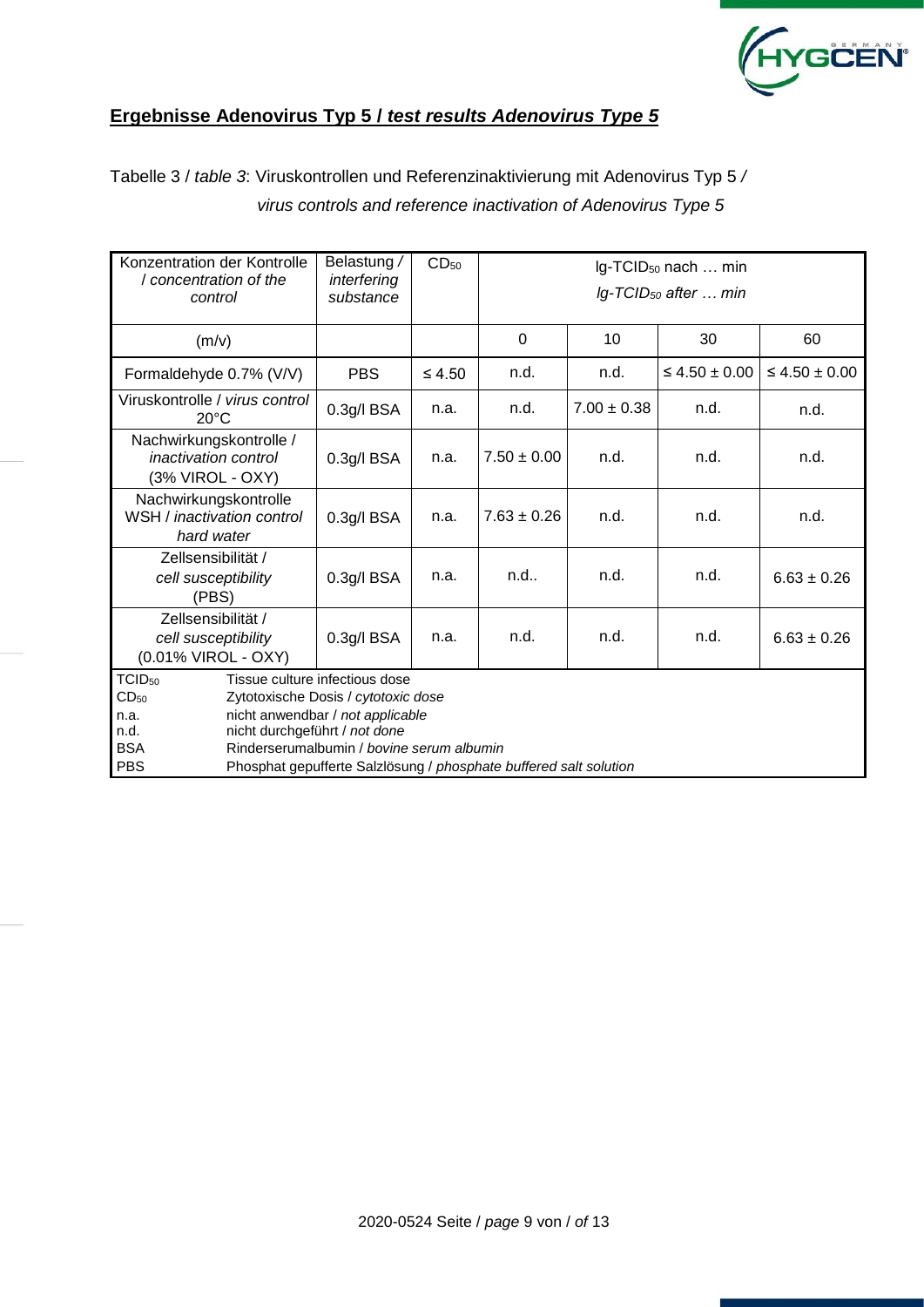

## **Ergebnisse Adenovirus Typ 5 /** *test results Adenovirus Type 5*

Tabelle 3 / *table 3*: Viruskontrollen und Referenzinaktivierung mit Adenovirus Typ 5 */ virus controls and reference inactivation of Adenovirus Type 5* 

| Konzentration der Kontrolle<br>/ concentration of the<br>control                   | Belastung /<br>interfering<br>substance                                                                                                                                                                                                                      | CD <sub>50</sub> | Ig-TCID <sub>50</sub> nach  min<br>Ig-TCID <sub>50</sub> after  min |                 |                      |                      |  |  |  |  |  |  |
|------------------------------------------------------------------------------------|--------------------------------------------------------------------------------------------------------------------------------------------------------------------------------------------------------------------------------------------------------------|------------------|---------------------------------------------------------------------|-----------------|----------------------|----------------------|--|--|--|--|--|--|
| (m/v)                                                                              |                                                                                                                                                                                                                                                              |                  | $\Omega$                                                            | 10              | 30                   | 60                   |  |  |  |  |  |  |
| Formaldehyde 0.7% (V/V)                                                            | <b>PBS</b>                                                                                                                                                                                                                                                   | $\leq 4.50$      | n.d.                                                                | n.d.            | $\leq 4.50 \pm 0.00$ | $\leq 4.50 \pm 0.00$ |  |  |  |  |  |  |
| Viruskontrolle / virus control<br>$20^{\circ}$ C                                   | $0.3$ g/l BSA                                                                                                                                                                                                                                                | n.a.             | n.d.                                                                | $7.00 \pm 0.38$ | n.d.                 | n.d.                 |  |  |  |  |  |  |
| Nachwirkungskontrolle /<br><i>inactivation control</i><br>(3% VIROL - OXY)         | 0.3g/l BSA                                                                                                                                                                                                                                                   | n.a.             | $7.50 \pm 0.00$                                                     | n.d.            | n.d.                 | n.d.                 |  |  |  |  |  |  |
| Nachwirkungskontrolle<br>WSH / inactivation control<br>hard water                  | 0.3g/l BSA                                                                                                                                                                                                                                                   | n.a.             | $7.63 \pm 0.26$                                                     | n.d.            | n.d.                 | n.d.                 |  |  |  |  |  |  |
| Zellsensibilität /<br>cell susceptibility<br>(PBS)                                 | 0.3g/l BSA                                                                                                                                                                                                                                                   | n.a.             | n.d.                                                                | n.d.            | n.d.                 | $6.63 \pm 0.26$      |  |  |  |  |  |  |
| Zellsensibilität /<br>cell susceptibility<br>(0.01% VIROL - OXY)                   | 0.3g/l BSA                                                                                                                                                                                                                                                   | n.a.             | n.d.                                                                | n.d.            | n.d.                 | $6.63 \pm 0.26$      |  |  |  |  |  |  |
| TCID <sub>50</sub><br>CD <sub>50</sub><br>n.a.<br>n.d.<br><b>BSA</b><br><b>PBS</b> | Tissue culture infectious dose<br>Zytotoxische Dosis / cytotoxic dose<br>nicht anwendbar / not applicable<br>nicht durchgeführt / not done<br>Rinderserumalbumin / bovine serum albumin<br>Phosphat gepufferte Salzlösung / phosphate buffered salt solution |                  |                                                                     |                 |                      |                      |  |  |  |  |  |  |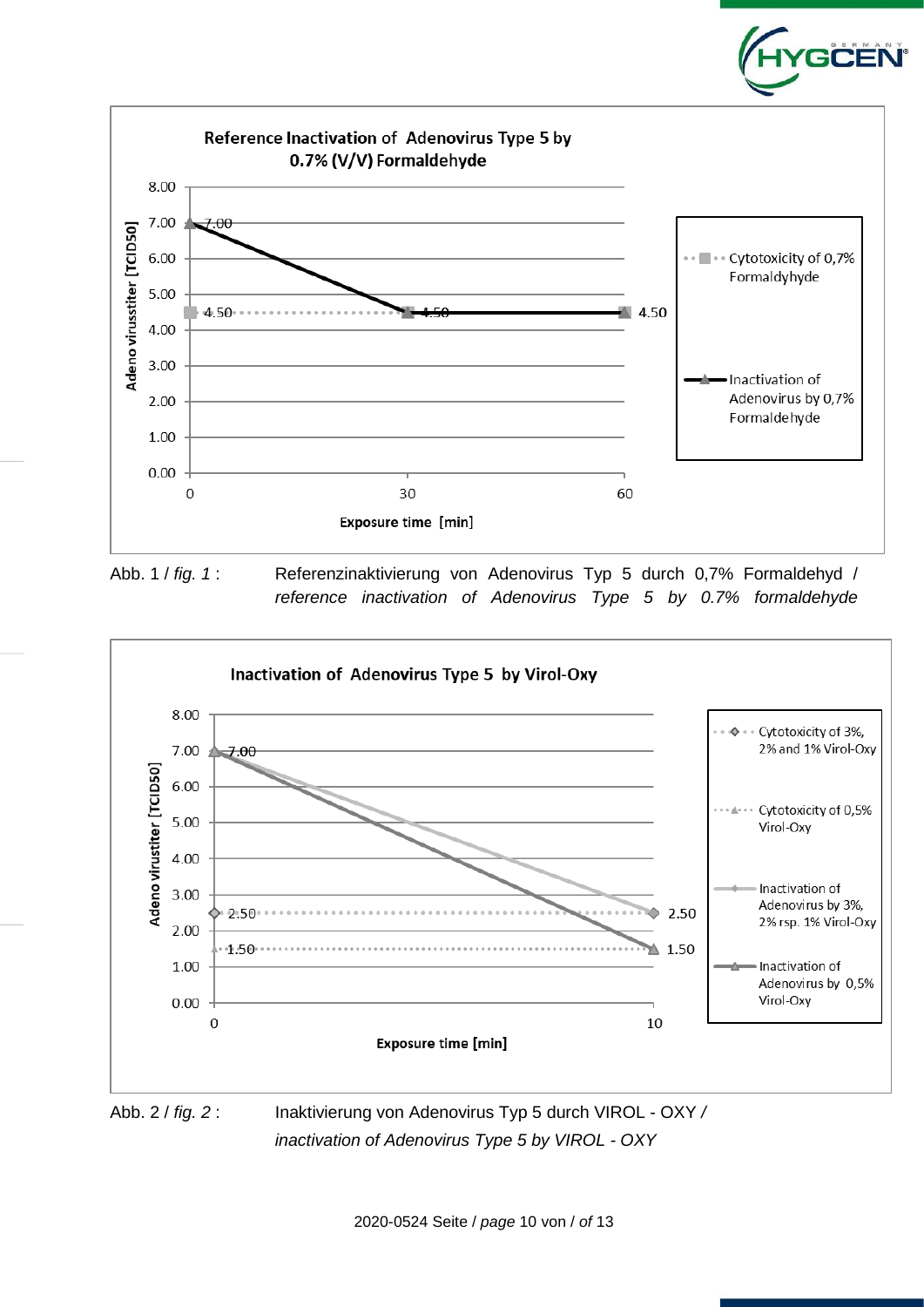

Abb. 1 / *fig. 1* : Referenzinaktivierung von Adenovirus Typ 5 durch 0,7% Formaldehyd / *reference inactivation of Adenovirus Type 5 by 0.7% formaldehyde*



*inactivation of Adenovirus Type 5 by VIROL - OXY*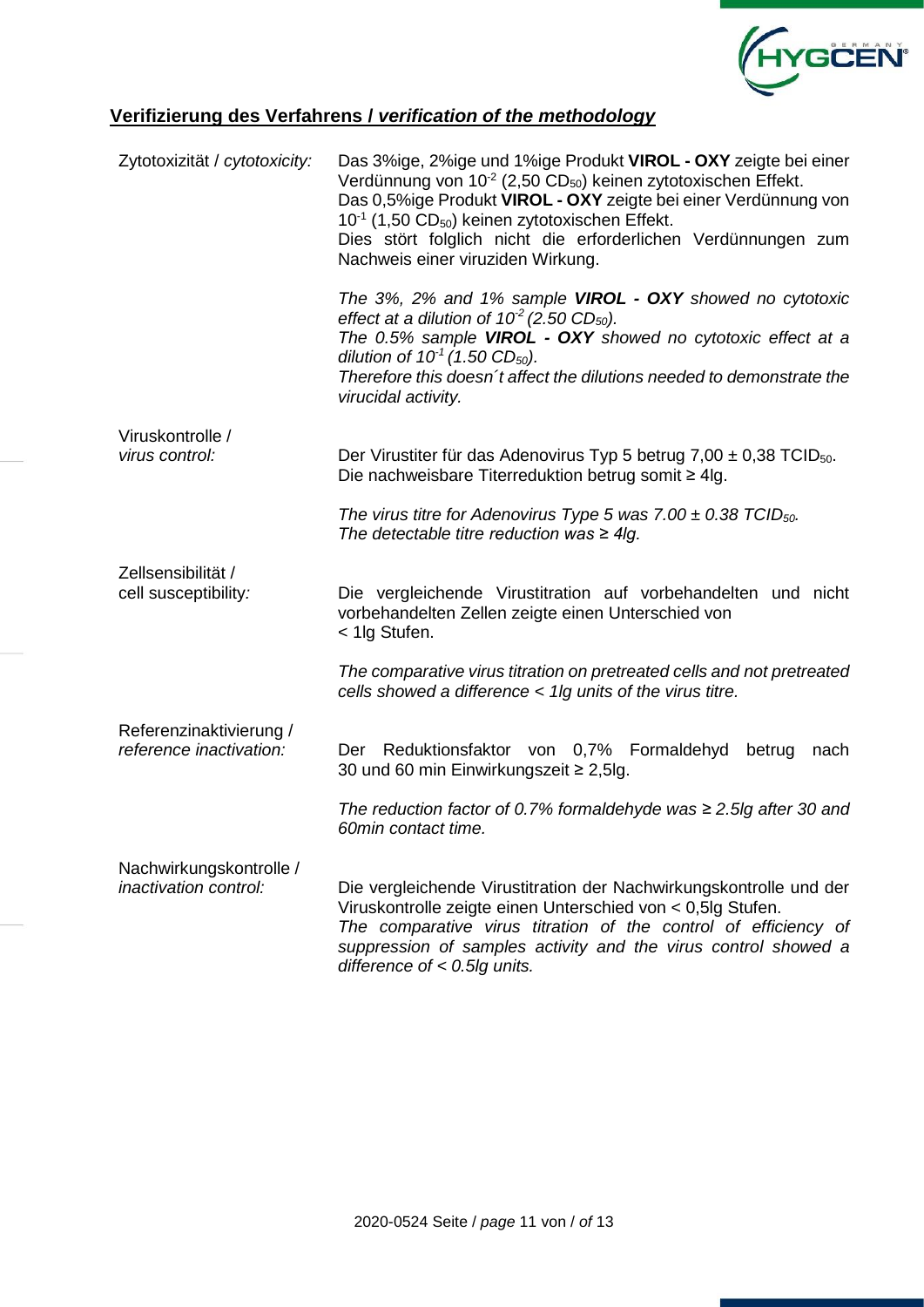

## **Verifizierung des Verfahrens /** *verification of the methodology*

| Zytotoxizität / cytotoxicity:                           | Das 3%ige, 2%ige und 1%ige Produkt VIROL - OXY zeigte bei einer<br>Verdünnung von 10 <sup>-2</sup> (2,50 CD <sub>50</sub> ) keinen zytotoxischen Effekt.<br>Das 0,5%ige Produkt VIROL - OXY zeigte bei einer Verdünnung von<br>$10^{-1}$ (1,50 CD <sub>50</sub> ) keinen zytotoxischen Effekt.<br>Dies stört folglich nicht die erforderlichen Verdünnungen zum<br>Nachweis einer viruziden Wirkung. |
|---------------------------------------------------------|------------------------------------------------------------------------------------------------------------------------------------------------------------------------------------------------------------------------------------------------------------------------------------------------------------------------------------------------------------------------------------------------------|
|                                                         | The 3%, 2% and 1% sample VIROL - OXY showed no cytotoxic<br>effect at a dilution of $10^2$ (2.50 CD <sub>50</sub> ).<br>The 0.5% sample VIROL - OXY showed no cytotoxic effect at a<br>dilution of $10^{-1}$ (1.50 CD <sub>50</sub> ).<br>Therefore this doesn't affect the dilutions needed to demonstrate the<br>virucidal activity.                                                               |
| Viruskontrolle /<br>virus control:                      | Der Virustiter für das Adenovirus Typ 5 betrug 7,00 $\pm$ 0,38 TCID <sub>50</sub> .<br>Die nachweisbare Titerreduktion betrug somit ≥ 4lg.                                                                                                                                                                                                                                                           |
|                                                         | The virus titre for Adenovirus Type 5 was 7.00 $\pm$ 0.38 TCID <sub>50</sub> .<br>The detectable titre reduction was $\geq 4$ lg.                                                                                                                                                                                                                                                                    |
| Zellsensibilität /<br>cell susceptibility:              | Die vergleichende Virustitration auf vorbehandelten und nicht<br>vorbehandelten Zellen zeigte einen Unterschied von<br>< 1lg Stufen.                                                                                                                                                                                                                                                                 |
|                                                         | The comparative virus titration on pretreated cells and not pretreated<br>cells showed a difference < 1lg units of the virus titre.                                                                                                                                                                                                                                                                  |
| Referenzinaktivierung /<br>reference inactivation:      | Der Reduktionsfaktor von 0,7% Formaldehyd<br>betrug<br>nach<br>30 und 60 min Einwirkungszeit ≥ 2,5lg.                                                                                                                                                                                                                                                                                                |
|                                                         | The reduction factor of 0.7% formaldehyde was $\geq$ 2.5lg after 30 and<br>60min contact time.                                                                                                                                                                                                                                                                                                       |
| Nachwirkungskontrolle /<br><i>inactivation control:</i> | Die vergleichende Virustitration der Nachwirkungskontrolle und der<br>Viruskontrolle zeigte einen Unterschied von < 0,5lg Stufen.<br>The comparative virus titration of the control of efficiency of<br>suppression of samples activity and the virus control showed a<br>difference of $< 0.5$ lg units.                                                                                            |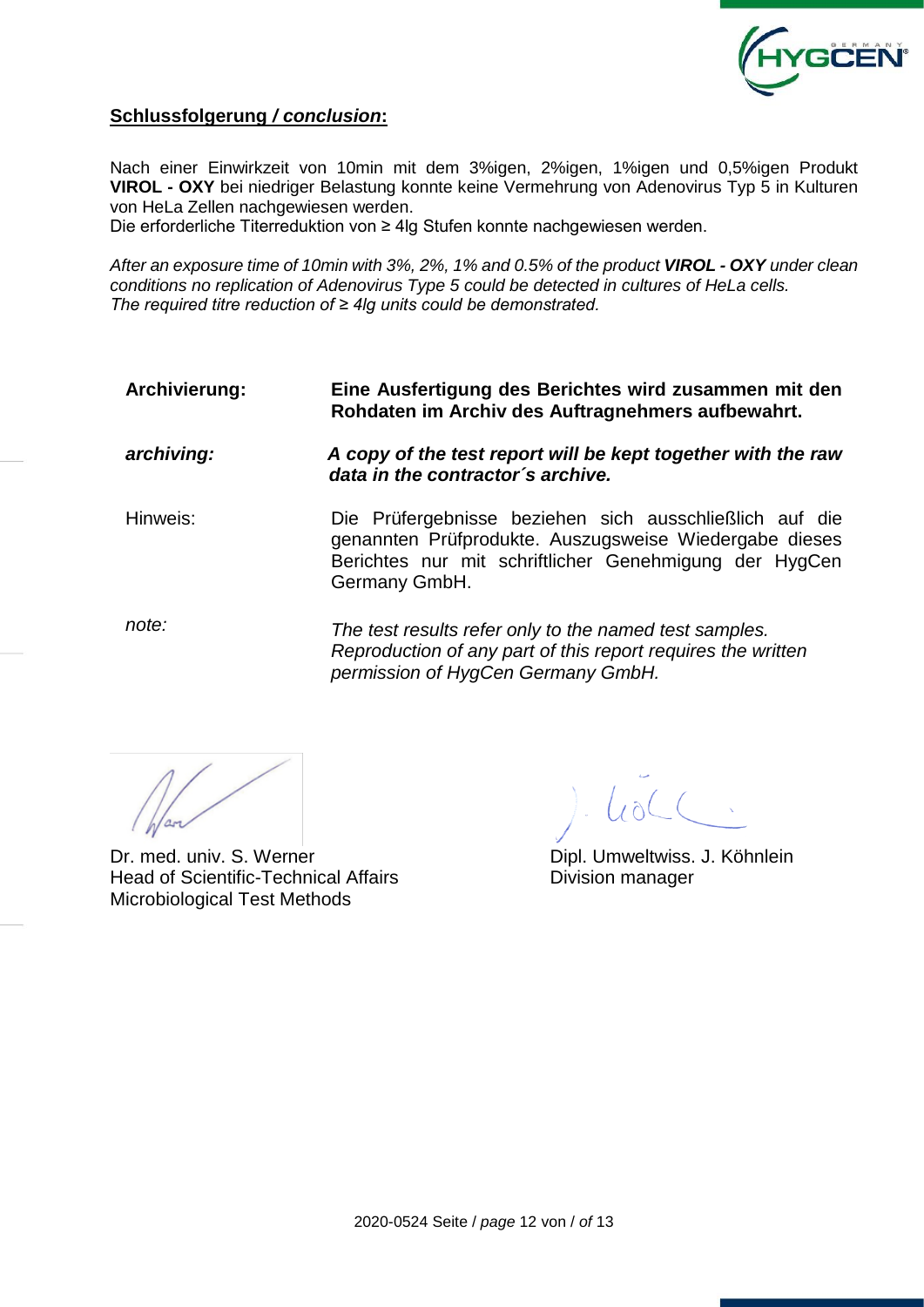

### **Schlussfolgerung** */ conclusion***:**

Nach einer Einwirkzeit von 10min mit dem 3%igen, 2%igen, 1%igen und 0,5%igen Produkt **VIROL - OXY** bei niedriger Belastung konnte keine Vermehrung von Adenovirus Typ 5 in Kulturen von HeLa Zellen nachgewiesen werden.

Die erforderliche Titerreduktion von ≥ 4lg Stufen konnte nachgewiesen werden.

*After an exposure time of 10min with 3%, 2%, 1% and 0.5% of the product VIROL - OXY under clean conditions no replication of Adenovirus Type 5 could be detected in cultures of HeLa cells. The required titre reduction of ≥ 4lg units could be demonstrated.*

**Archivierung: Eine Ausfertigung des Berichtes wird zusammen mit den Rohdaten im Archiv des Auftragnehmers aufbewahrt.**

*archiving: A copy of the test report will be kept together with the raw data in the contractor´s archive.*

Hinweis: Die Prüfergebnisse beziehen sich ausschließlich auf die genannten Prüfprodukte. Auszugsweise Wiedergabe dieses Berichtes nur mit schriftlicher Genehmigung der HygCen Germany GmbH.

*note: The test results refer only to the named test samples. Reproduction of any part of this report requires the written permission of HygCen Germany GmbH.*

Dr. med. univ. S. Werner **Dipl. Umweltwiss. J. Köhnlein** Head of Scientific-Technical Affairs **Exercise Scientific-Technical Affairs** Division manager Microbiological Test Methods